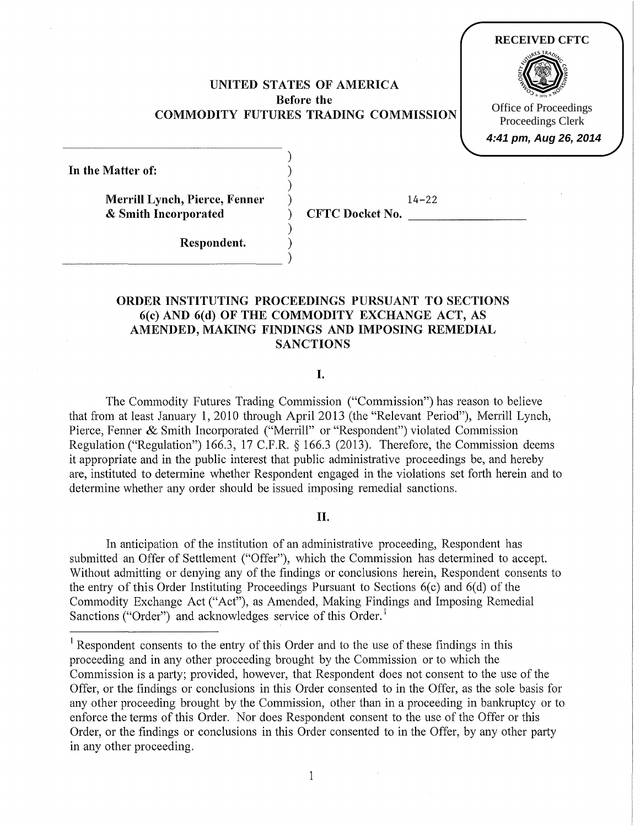UNITED STATES OF AMERICA Before the COMMODITY FUTURES TRADING COMMISSION

> ) ) )

> > )

In the Matter of:

Merrill Lynch, Pierce, Fenner & Smith Incorporated

 $\frac{1}{2}$ 

 $14-22$ 

**RECEIVED CFTC**

Office of Proceedings Proceedings Clerk **4:41 pm, Aug 26, 2014**

) CFTC Docket No.

Respondent. )

# ORDER INSTITUTING PROCEEDINGS PURSUANT TO SECTIONS 6(c)AND 6(d) OF THE COMMODITY EXCHANGE ACT, AS AMENDED, MAKING FINDINGS AND IMPOSING REMEDIAL **SANCTIONS**

#### I.

The Commodity Futures Trading Commission ("Commission") has reason to believe that from at least January 1, 2010 through April2013 (the "Relevant Period"), Merrill Lynch, Pierce, Fenner & Smith Incorporated ("Merrill" or "Respondent") violated Commission Regulation ("Regulation") 166.3, 17 C.P.R.§ 166.3 (2013). Therefore, the Commission deems it appropriate and in the public interest that public administrative proceedings be, and hereby are, instituted to determine whether Respondent engaged in the violations set forth herein and to determine whether any order should be issued imposing remedial sanctions.

# II.

In anticipation of the institution of an administrative proceeding, Respondent has submitted an Offer of Settlement ("Offer"), which the Commission has determined to accept. Without admitting or denying any of the findings or conclusions herein, Respondent consents to the entry of this Order Instituting Proceedings Pursuant to Sections  $6(c)$  and  $6(d)$  of the Commodity Exchange Act ("Act"), as Amended, Making Findings and Imposing Remedial Sanctions ("Order") and acknowledges service of this Order.<sup>1</sup>

 $1$  Respondent consents to the entry of this Order and to the use of these findings in this proceeding and in any other proceeding brought by the Commission or to which the Commission is a party; provided, however, that Respondent does not consent to the use of the Offer, or the findings or conclusions in this Order consented to in the Offer, as the sole basis for any other proceeding brought by the Commission, other than in a proceeding in bankruptcy or to enforce the terms of this Order. Nor does Respondent consent to the use of the Offer or this Order, or the findings or conclusions in this Order consented to in the Offer, by any other party in any other proceeding.

1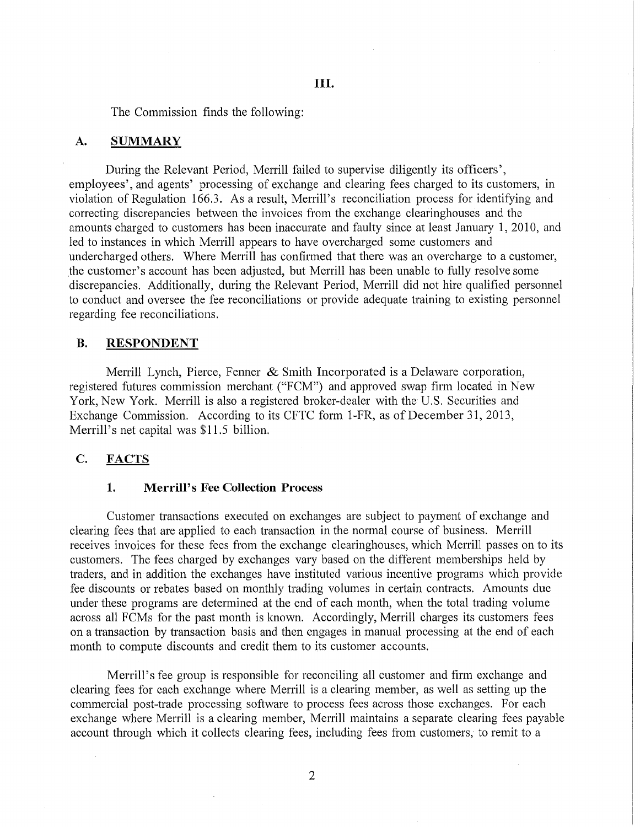The Commission finds the following:

## **A. SUMMARY**

During the Relevant Period, Merrill failed to supervise diligently its officers', employees', and agents' processing of exchange and clearing fees charged to its customers, in violation of Regulation 166.3. As a result, Merrill's reconciliation process for identifying and correcting discrepancies between the invoices from the exchange clearinghouses and the amounts charged to customers has been inaccurate and faulty since at least January **1,** 2010, and led to instances in which Merrill appears to have overcharged some customers and undercharged others. Where Merrill has confirmed that there was an overcharge to a customer, the customer's account has been adjusted, but Merrill has been unable to fully resolve some discrepancies. Additionally, during the Relevant Period, Merrill did not hire qualified personnel to conduct and oversee the fee reconciliations or provide adequate training to existing personnel regarding fee reconciliations.

## **B. RESPONDENT**

Merrill Lynch, Pierce, Fenner & Smith Incorporated is a Delaware corporation, registered futures commission merchant ("FCM") and approved swap firm located in New York, New York. Merrill is also a registered broker-dealer with the U.S. Securities and Exchange Commission. According to its CFTC form 1-FR, as of December 31, 2013, Merrill's net capital was \$11 .5 billion.

# **C. FACTS**

## **1. Merrill's Fee Collection Process**

Customer transactions executed on exchanges are subject to payment of exchange and clearing fees that are applied to each transaction in the normal course of business. Merrill receives invoices for these fees from the exchange clearinghouses, which Merrill passes on to its customers. The fees charged by exchanges vary based on the different memberships held by traders, and in addition the exchanges have instituted various incentive programs which provide fee discounts or rebates based on monthly trading volumes in certain contracts. Amounts due under these programs are determined at the end of each month, when the total trading volume across all FCMs for the past month is known. Accordingly, Merrill charges its customers fees on a transaction by transaction basis and then engages in manual processing at the end of each month to compute discounts and credit them to its customer accounts.

Merrill's fee group is responsible for reconciling all customer and firm exchange and clearing fees for each exchange where Merrill is a clearing member, as well as setting up the commercial post-trade processing software to process fees across those exchanges. For each exchange where Merrill is a clearing member, Merrill maintains a separate clearing fees payable account through which it collects clearing fees, including fees from customers, to remit to a

2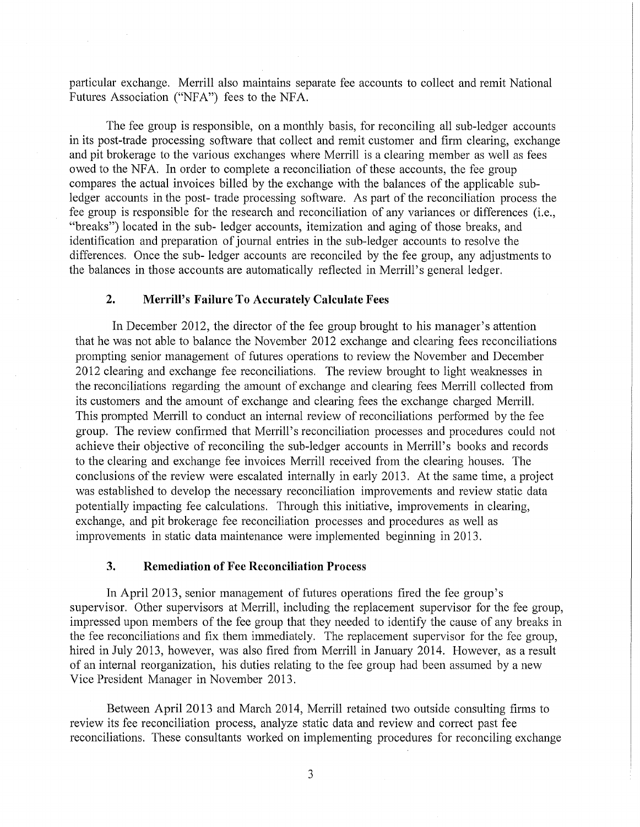particular exchange. Merrill also maintains separate fee accounts to collect and remit National Futures Association ("NFA") fees to the NFA.

The fee group is responsible, on a monthly basis, for reconciling all sub-ledger accounts in its post-trade processing software that collect and remit customer and firm clearing, exchange and pit brokerage to the various exchanges where Merrill is a clearing member as well as fees owed to the NFA. In order to complete a reconciliation of these accounts, the fee group compares the actual invoices billed by the exchange with the balances of the applicable subledger accounts in the post- trade processing software. As part of the reconciliation process the fee group is responsible for the research and reconciliation of any variances or differences (i.e., "breaks") located in the sub- ledger accounts, itemization and aging of those breaks, and identification and preparation of journal entries in the sub-ledger accounts to resolve the differences. Once the sub- ledger accounts are reconciled by the fee group, any adjustments to the balances in those accounts are automatically reflected in Merrill's general ledger.

## **2. Merrill's Failure To Accurately Calculate Fees**

In December 2012, the director of the fee group brought to his manager's attention that he was not able to balance the November 2012 exchange and clearing fees reconciliations prompting senior management of futures operations to review the November and December 2012 clearing and exchange fee reconciliations. The review brought to light weaknesses in the reconciliations regarding the amount of exchange and clearing fees Merrill collected from its customers and the amount of exchange and clearing fees the exchange charged Merrill. This prompted Merrill to conduct an internal review of reconciliations performed by the fee group. The review confirmed that Merrill's reconciliation processes and procedures could not achieve their objective of reconciling the sub-ledger accounts in Merrill's books and records to the clearing and exchange fee invoices Merrill received from the clearing houses. The conclusions of the review were escalated internally in early 2013. At the same time, a project was established to develop the necessary reconciliation improvements and review static data potentially impacting fee calculations. Through this initiative, improvements in clearing, exchange, and pit brokerage fee reconciliation processes and procedures as well as improvements in static data maintenance were implemented beginning in 2013.

#### **3. Remediation of Fee Reconciliation Process**

In April2013, senior management of futures operations fired the fee group's supervisor. Other supervisors at Merrill, including the replacement supervisor for the fee group, impressed upon members of the fee group that they needed to identify the cause of any breaks in the fee reconciliations and fix them immediately. The replacement supervisor for the fee group, hired in July 2013, however, was also fired from Merrill in January 2014. However, as a result of an internal reorganization, his duties relating to the fee group had been assumed by a new Vice President Manager in November 2013.

Between April 2013 and March 2014, Merrill retained two outside consulting firms to review its fee reconciliation process, analyze static data and review and correct past fee reconciliations. These consultants worked on implementing procedures for reconciling exchange

3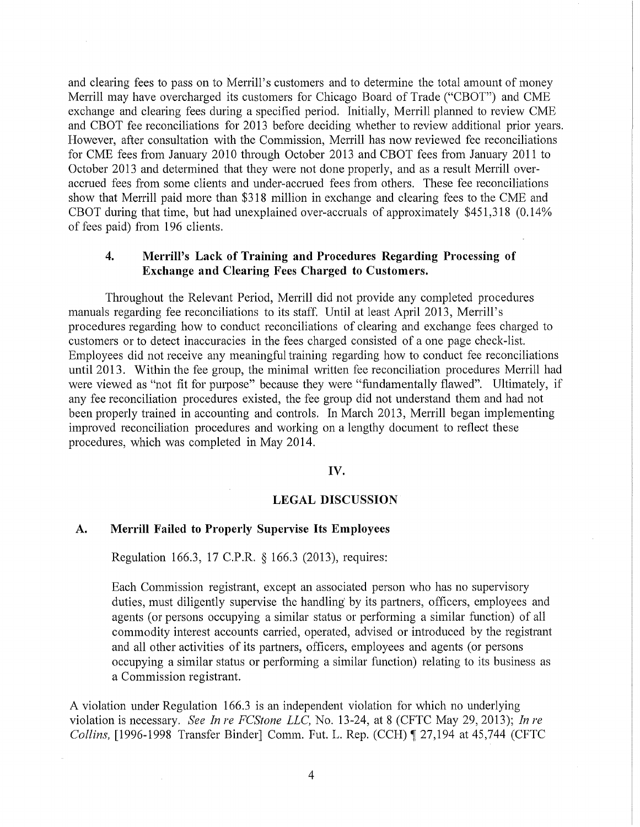and clearing fees to pass on to Merrill's customers and to determine the total amount of money Merrill may have overcharged its customers for Chicago Board of Trade ("CBOT") and CME exchange and clearing fees during a specified period. Initially, Merrill planned to review CME and CBOT fee reconciliations for 2013 before deciding whether to review additional prior years. However, after consultation with the Commission, Merrill has now reviewed fee reconciliations for CME fees from January 2010 through October 2013 and CBOT fees from January 2011 to October 2013 and determined that they were not done properly, and as a result Merrill overaccrued fees from some clients and under-accrued fees from others. These fee reconciliations show that Merrill paid more than \$318 million in exchange and clearing fees to the CME and CBOT during that time, but had unexplained over-accruals of approximately \$451,318 (0.14% of fees paid) from 196 clients.

# 4. Merrill's Lack of Training and Procedures Regarding Processing of Exchange and Clearing Fees Charged to Customers.

Throughout the Relevant Period, Merrill did not provide any completed procedures manuals regarding fee reconciliations to its staff. Until at least April 2013, Merrill's procedures regarding how to conduct reconciliations of clearing and exchange fees charged to customers or to detect inaccuracies in the fees charged consisted of a one page check-list. Employees did not receive any meaningful training regarding how to conduct fee reconciliations until 2013. Within the fee group, the minimal written fee reconciliation procedures Merrill had were viewed as "not fit for purpose" because they were "fundamentally flawed". Ultimately, if any fee reconciliation procedures existed, the fee group did not understand them and had not been properly trained in accounting and controls. In March 2013, Merrill began implementing improved reconciliation procedures and working on a lengthy document to reflect these procedures, which was completed in May 2014.

# IV.

#### LEGAL DISCUSSION

## A. Merrill Failed to Properly Supervise Its Employees

Regulation 166.3, 17 C.P.R. § 166.3 (2013), requires:

Each Commission registrant, except an associated person who has no supervisory duties, must diligently supervise the handling by its partners, officers, employees and agents (or persons occupying a similar status or performing a similar function) of all commodity interest accounts carried, operated, advised or introduced by the registrant and all other activities of its partners, officers, employees and agents (or persons occupying a similar status or performing a similar function) relating to its business as a Commission registrant.

A violation under Regulation 166.3 is an independent violation for which no underlying violation is necessary. *See In re FCStone LLC,* No. 13-24, at 8 (CFTC May 29, 2013); *In re Collins,* [1996-1998 Transfer Binder] Comm. Fut. L. Rep. (CCH) ¶ 27,194 at 45,744 (CFTC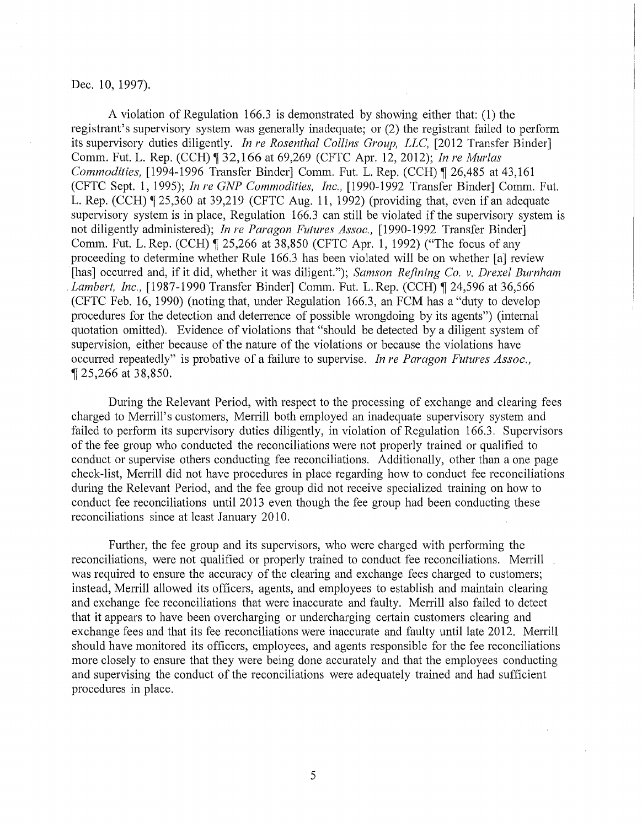# Dec. 10, 1997).

A violation of Regulation 166.3 is demonstrated by showing either that: (1) the registrant's supervisory system was generally inadequate; or (2) the registrant failed to perform its supervisory duties diligently. *In re Rosenthal Collins Group, LLC,* [2012 Transfer Binder] Comm. Put. L. Rep. (CCH) ~ 32,166 at 69,269 (CFTC Apr. 12, 2012); *In re Murlas Commodities, [1994-1996 Transfer Binder] Comm. Fut. L. Rep. (CCH)* ¶ 26,485 at 43,161 (CFTC Sept. 1, 1995); *In re GNP Commodities, Inc.,* [1990-1992 Transfer Binder] Comm. Put. L. Rep. (CCH)  $\parallel$  25,360 at 39,219 (CFTC Aug. 11, 1992) (providing that, even if an adequate supervisory system is in place, Regulation 166.3 can still be violated if the supervisory system is not diligently administered); *In re Paragon Futures Assoc.,* [1990-1992 Transfer Binder] Comm. Fut. L. Rep. (CCH) ¶ 25,266 at 38,850 (CFTC Apr. 1, 1992) ("The focus of any proceeding to determine whether Rule 166.3 has been violated will be on whether [a] review [has] occurred and, if it did, whether it was diligent."); *Samson Refining Co. v. Drexel Burnham Lambert, Inc.,* [1987-1990 Transfer Binder] Comm. Fut. L. Rep. (CCH) ¶ 24,596 at 36,566 (CFTC Feb. 16, 1990) (noting that, under Regulation 166.3, an FCM has a "duty to develop procedures for the detection and deterrence of possible wrongdoing by its agents") (internal quotation omitted). Evidence of violations that "should be detected by a diligent system of supervision, either because of the nature of the violations or because the violations have occurred repeatedly" is probative of a failure to supervise. *In re Paragon Futures Assoc.,*  <sup>~</sup>25,266 at 38,850.

During the Relevant Period, with respect to the processing of exchange and clearing fees charged to Merrill's customers, Merrill both employed an inadequate supervisory system and failed to perform its supervisory duties diligently, in violation of Regulation 166.3. Supervisors of the fee group who conducted the reconciliations were not properly trained or qualified to conduct or supervise others conducting fee reconciliations. Additionally, other than a one page check-list, Merrill did not have procedures in place regarding how to conduct fee reconciliations during the Relevant Period, and the fee group did not receive specialized training on how to conduct fee reconciliations until 2013 even though the fee group had been conducting these reconciliations since at least January 2010.

Further, the fee group and its supervisors, who were charged with performing the reconciliations, were not qualified or properly trained to conduct fee reconciliations. Merrill was required to ensure the accuracy of the clearing and exchange fees charged to customers; instead, Merrill allowed its officers, agents, and employees to establish and maintain clearing and exchange fee reconciliations that were inaccurate and faulty. Merrill also failed to detect that it appears to have been overcharging or undercharging certain customers clearing and exchange fees and that its fee reconciliations were inaccurate and faulty until late 2012. Merrill should have monitored its officers, employees, and agents responsible for the fee reconciliations more closely to ensure that they were being done accurately and that the employees conducting and supervising the conduct of the reconciliations were adequately trained and had sufficient procedures in place.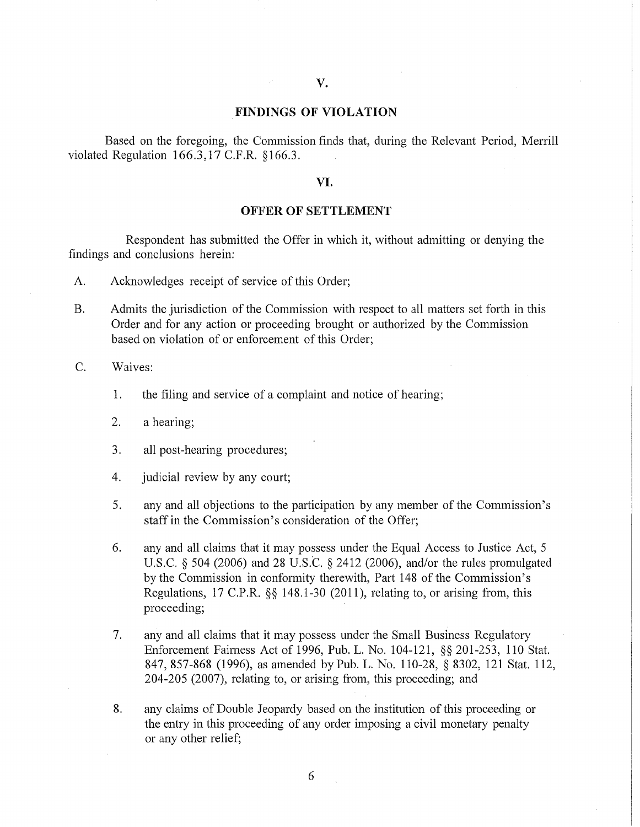# FINDINGS OF VIOLATION

Based on the foregoing, the Commission finds that, during the Relevant Period, Merrill violated Regulation 166.3,17 C.F.R. §166.3.

## VI.

#### OFFER OF SETTLEMENT

Respondent has submitted the Offer in which it, without admitting or denying the findings and conclusions herein:

- A. Acknowledges receipt of service of this Order;
- B. Admits the jurisdiction of the Commission with respect to all matters set forth in this Order and for any action or proceeding brought or authorized by the Commission based on violation of or enforcement of this Order;

C. Waives:

- 1. the filing and service of a complaint and notice of hearing;
- 2. a hearing;
- 3. all post-hearing procedures;
- 4. judicial review by any court;
- 5. any and all objections to the participation by any member of the Commission's staff in the Commission's consideration of the Offer;
- 6. any and all claims that it may possess under the Equal Access to Justice Act, 5 U.S.C. *§* 504 (2006) and 28 U.S.C. *§* 2412 (2006), and/or the rules promulgated by the Commission in conformity therewith, Part 148 of the Commission's Regulations, 17 C.P.R. *§§* 148.1-30 (2011), relating to, or arising from, this proceeding;
- 7. any and all claims that it may possess under the Small Business Regulatory Enforcement Fairness Act of 1996, Pub. L. No. 104-121, *§§* 201-253, 110 Stat. 847, 857-868 (1996), as amended by Pub. L. No. 110-28, *§* 8302, 121 Stat. 112, 204-205 (2007), relating to, or arising from, this proceeding; and
- 8. any claims of Double Jeopardy based on the institution of this proceeding or the entry in this proceeding of any order imposing a civil monetary penalty or any other relief;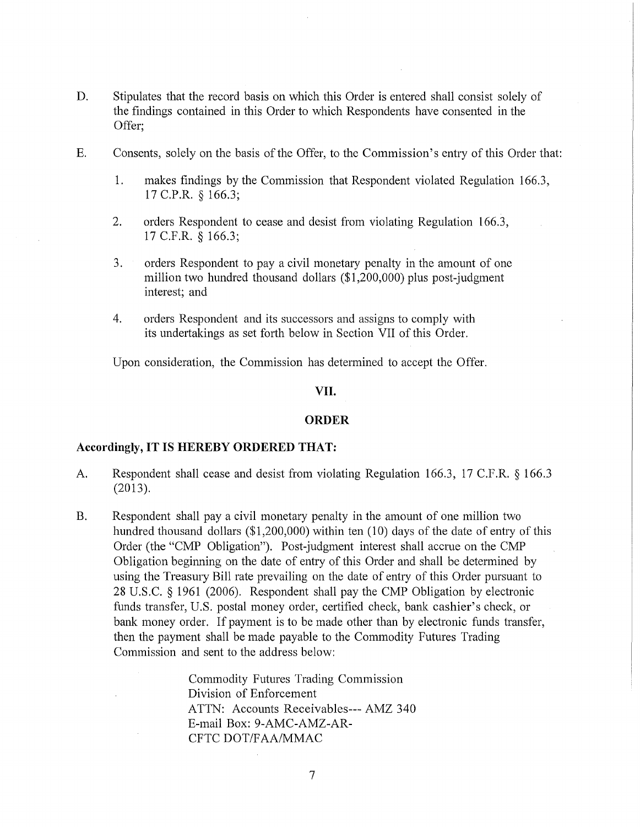- D. Stipulates that the record basis on which this Order is entered shall consist solely of the findings contained in this Order to which Respondents have consented in the Offer;
- E. Consents, solely on the basis of the Offer, to the Commission's entry of this Order that:
	- 1. makes findings by the Commission that Respondent violated Regulation 166.3, 17 C.P.R. § 166.3;
	- 2. orders Respondent to cease and desist from violating Regulation 166.3, 17 C.F.R. § 166.3;
	- 3. orders Respondent to pay a civil monetary penalty in the amount of one million two hundred thousand dollars (\$1 ,200,000) plus post-judgment interest; and
	- 4. orders Respondent and its successors and assigns to comply with its undertakings as set forth below in Section VII of this Order.

Upon consideration, the Commission has determined to accept the Offer.

## VII.

## **ORDER**

#### **Accordingly, IT IS HEREBY ORDERED THAT:**

- A. Respondent shall cease and desist from violating Regulation 166.3, 17 C.F.R. § 166.3 (2013).
- B. Respondent shall pay a civil monetary penalty in the amount of one million two hundred thousand dollars  $(\$1,200,000)$  within ten  $(10)$  days of the date of entry of this Order (the "CMP Obligation"). Post-judgment interest shall accrue on the CMP Obligation beginning on the date of entry of this Order and shall be determined by using the Treasury Bill rate prevailing on the date of entry of this Order pursuant to 28 U.S.C. § 1961 (2006). Respondent shall pay the CMP Obligation by electronic funds transfer, U.S. postal money order, certified check, bank cashier's check, or bank money order. If payment is to be made other than by electronic funds transfer, then the payment shall be made payable to the Commodity Futures Trading Commission and sent to the address below:

Commodity Futures Trading Commission Division of Enforcement ATTN: Accounts Receivables--- AMZ 340 E-mail Box: 9-AMC-AMZ-AR-CFTC DOT/FAA/MMAC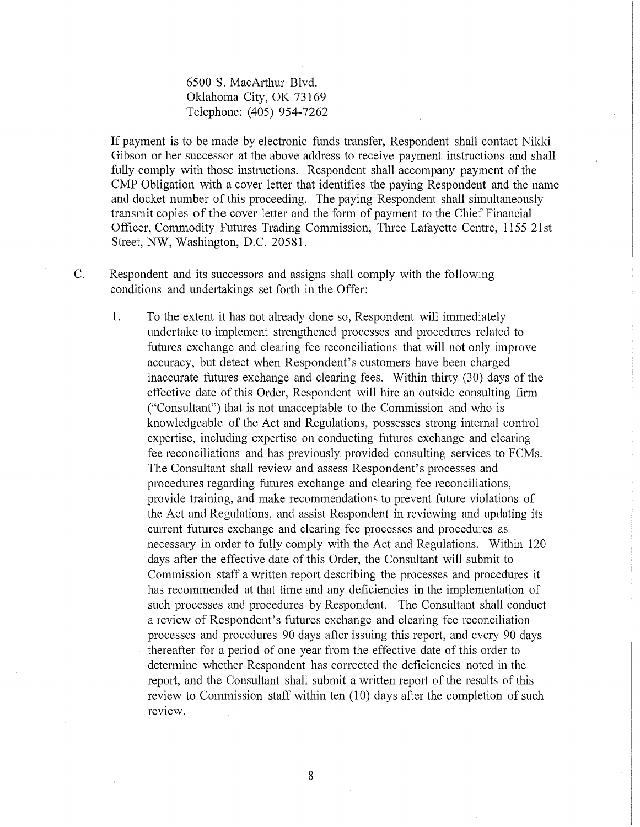6500 S. MacArthur Blvd. Oklahoma City, OK 73169 Telephone: (405) 954-7262

If payment is to be made by electronic funds transfer, Respondent shall contact Nikki Gibson or her successor at the above address to receive payment instructions and shall fully comply with those instructions. Respondent shall accompany payment of the CMP Obligation with a cover letter that identifies the paying Respondent and the name and docket number of this proceeding. The paying Respondent shall simultaneously transmit copies of the cover letter and the form of payment to the Chief Financial Officer, Commodity Futures Trading Commission, Three Lafayette Centre, 1155 21st Street, NW, Washington, D.C. 20581.

C. Respondent and its successors and assigns shall comply with the following conditions and undertakings set forth in the Offer:

1. To the extent it has not already done so, Respondent will immediately undertake to implement strengthened processes and procedures related to futures exchange and clearing fee reconciliations that will not only improve accuracy, but detect when Respondent's customers have been charged inaccurate futures exchange and clearing fees. Within thirty (30) days of the effective date of this Order, Respondent will hire an outside consulting firm ("Consultant") that is not unacceptable to the Commission and who is knowledgeable of the Act and Regulations, possesses strong internal control expertise, including expertise on conducting futures exchange and clearing fee reconciliations and has previously provided consulting services to FCMs. The Consultant shall review and assess Respondent's processes and procedures regarding futures exchange and clearing fee reconciliations, provide training, and make recommendations to prevent future violations of the Act and Regulations, and assist Respondent in reviewing and updating its current futures exchange and clearing fee processes and procedures as necessary in order to fully comply with the Act and Regulations. Within 120 days after the effective date of this Order, the Consultant will submit to Commission staff a written report describing the processes and procedures it has recommended at that time and any deficiencies in the implementation of such processes and procedures by Respondent. The Consultant shall conduct a review of Respondent's futures exchange and clearing fee reconciliation processes and procedures 90 days after issuing this report, and every 90 days thereafter for a period of one year from the effective date of this order to determine whether Respondent has corrected the deficiencies noted in the report, and the Consultant shall submit a written report of the results of this review to Commission staff within ten (10) days after the completion of such review.